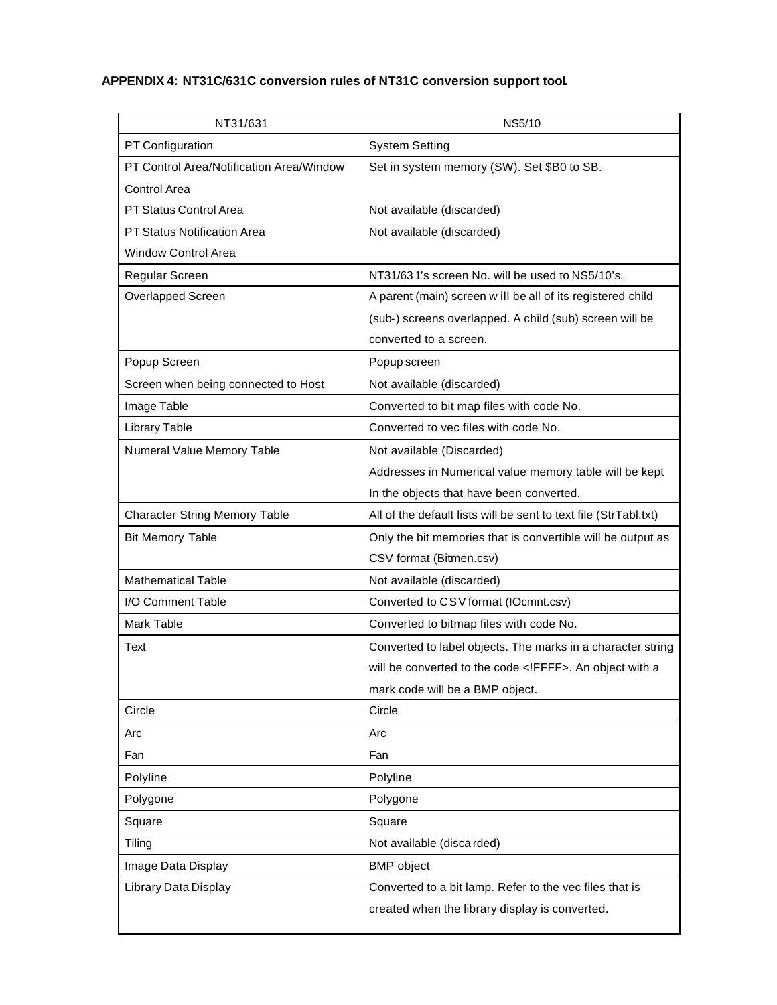## **APPENDIX 4: NT31C/631C conversion rules of NT31C conversion support tool.**

| NT31/631                                 | <b>NS5/10</b>                                                    |
|------------------------------------------|------------------------------------------------------------------|
| PT Configuration                         | <b>System Setting</b>                                            |
| PT Control Area/Notification Area/Window | Set in system memory (SW). Set \$B0 to SB.                       |
| <b>Control Area</b>                      |                                                                  |
| <b>PT Status Control Area</b>            | Not available (discarded)                                        |
| <b>PT Status Notification Area</b>       | Not available (discarded)                                        |
| <b>Window Control Area</b>               |                                                                  |
| Regular Screen                           | NT31/631's screen No. will be used to NS5/10's.                  |
| Overlapped Screen                        | A parent (main) screen w ill be all of its registered child      |
|                                          | (sub-) screens overlapped. A child (sub) screen will be          |
|                                          | converted to a screen.                                           |
| Popup Screen                             | Popup screen                                                     |
| Screen when being connected to Host      | Not available (discarded)                                        |
| Image Table                              | Converted to bit map files with code No.                         |
| Library Table                            | Converted to vec files with code No.                             |
| Numeral Value Memory Table               | Not available (Discarded)                                        |
|                                          | Addresses in Numerical value memory table will be kept           |
|                                          | In the objects that have been converted.                         |
| <b>Character String Memory Table</b>     | All of the default lists will be sent to text file (StrTabl.txt) |
| <b>Bit Memory Table</b>                  | Only the bit memories that is convertible will be output as      |
|                                          | CSV format (Bitmen.csv)                                          |
| <b>Mathematical Table</b>                | Not available (discarded)                                        |
| I/O Comment Table                        | Converted to CSV format (IOcmnt.csv)                             |
| Mark Table                               | Converted to bitmap files with code No.                          |
| Text                                     | Converted to label objects. The marks in a character string      |
|                                          | will be converted to the code FFFF . An object with a            |
|                                          | mark code will be a BMP object.                                  |
| Circle                                   | Circle                                                           |
| Arc                                      | Arc                                                              |
| Fan                                      | Fan                                                              |
| Polyline                                 | Polyline                                                         |
| Polygone                                 | Polygone                                                         |
| Square                                   | Square                                                           |
| Tiling                                   | Not available (disca rded)                                       |
| Image Data Display                       | <b>BMP</b> object                                                |
| Library Data Display                     | Converted to a bit lamp. Refer to the vec files that is          |
|                                          | created when the library display is converted.                   |
|                                          |                                                                  |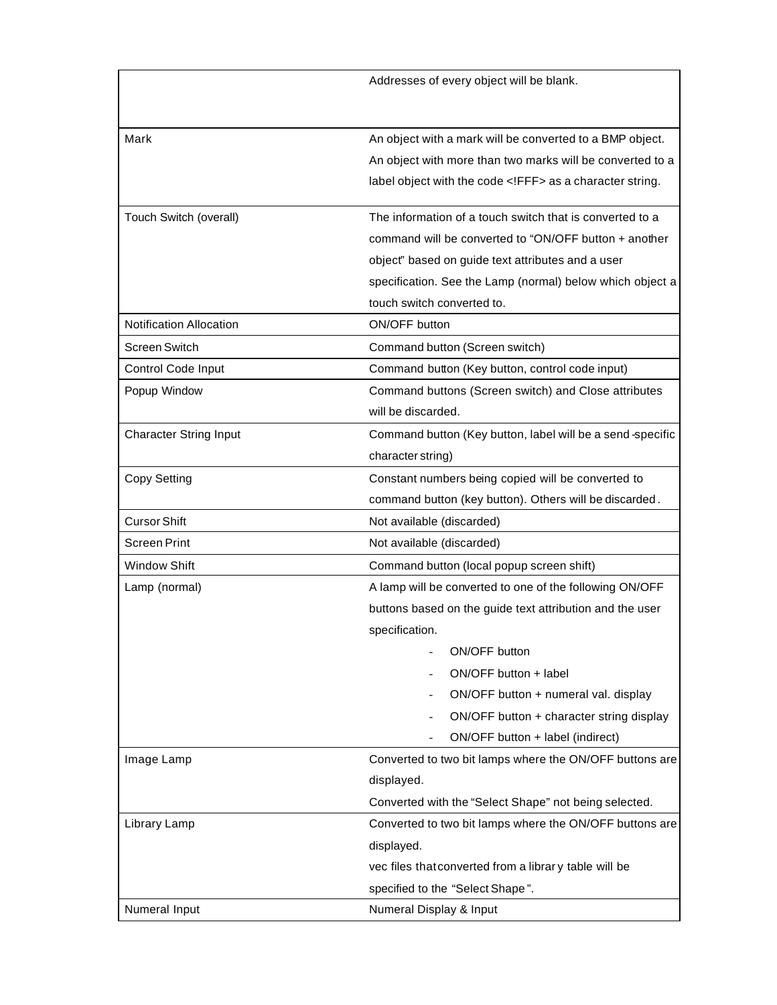|                                | Addresses of every object will be blank.                  |
|--------------------------------|-----------------------------------------------------------|
|                                |                                                           |
|                                |                                                           |
| Mark                           | An object with a mark will be converted to a BMP object.  |
|                                | An object with more than two marks will be converted to a |
|                                | label object with the code FFF as a character string.     |
| Touch Switch (overall)         | The information of a touch switch that is converted to a  |
|                                | command will be converted to "ON/OFF button + another     |
|                                | object" based on guide text attributes and a user         |
|                                | specification. See the Lamp (normal) below which object a |
|                                | touch switch converted to.                                |
| <b>Notification Allocation</b> | ON/OFF button                                             |
| <b>Screen Switch</b>           | Command button (Screen switch)                            |
| Control Code Input             | Command button (Key button, control code input)           |
| Popup Window                   | Command buttons (Screen switch) and Close attributes      |
|                                | will be discarded.                                        |
| <b>Character String Input</b>  | Command button (Key button, label will be a send-specific |
|                                | character string)                                         |
| Copy Setting                   | Constant numbers being copied will be converted to        |
|                                | command button (key button). Others will be discarded.    |
| <b>Cursor Shift</b>            | Not available (discarded)                                 |
| <b>Screen Print</b>            | Not available (discarded)                                 |
| <b>Window Shift</b>            | Command button (local popup screen shift)                 |
| Lamp (normal)                  | A lamp will be converted to one of the following ON/OFF   |
|                                | buttons based on the guide text attribution and the user  |
|                                | specification.                                            |
|                                | ON/OFF button                                             |
|                                | ON/OFF button + label                                     |
|                                | ON/OFF button + numeral val. display                      |
|                                | ON/OFF button + character string display                  |
|                                | ON/OFF button + label (indirect)                          |
| Image Lamp                     | Converted to two bit lamps where the ON/OFF buttons are   |
|                                | displayed.                                                |
|                                | Converted with the "Select Shape" not being selected.     |
| Library Lamp                   | Converted to two bit lamps where the ON/OFF buttons are   |
|                                | displayed.                                                |
|                                | vec files that converted from a librar y table will be    |
|                                | specified to the "Select Shape".                          |
| Numeral Input                  | Numeral Display & Input                                   |